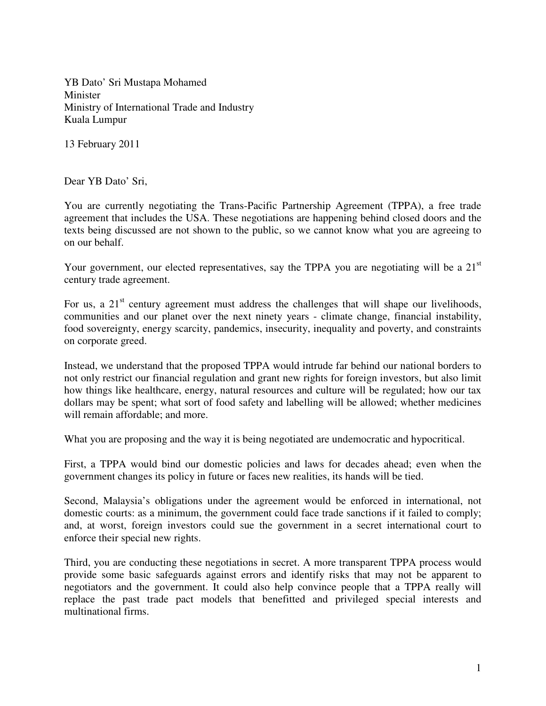YB Dato' Sri Mustapa Mohamed Minister Ministry of International Trade and Industry Kuala Lumpur

13 February 2011

Dear YB Dato' Sri,

You are currently negotiating the Trans-Pacific Partnership Agreement (TPPA), a free trade agreement that includes the USA. These negotiations are happening behind closed doors and the texts being discussed are not shown to the public, so we cannot know what you are agreeing to on our behalf.

Your government, our elected representatives, say the TPPA you are negotiating will be a  $21<sup>st</sup>$ century trade agreement.

For us, a  $21<sup>st</sup>$  century agreement must address the challenges that will shape our livelihoods, communities and our planet over the next ninety years - climate change, financial instability, food sovereignty, energy scarcity, pandemics, insecurity, inequality and poverty, and constraints on corporate greed.

Instead, we understand that the proposed TPPA would intrude far behind our national borders to not only restrict our financial regulation and grant new rights for foreign investors, but also limit how things like healthcare, energy, natural resources and culture will be regulated; how our tax dollars may be spent; what sort of food safety and labelling will be allowed; whether medicines will remain affordable; and more.

What you are proposing and the way it is being negotiated are undemocratic and hypocritical.

First, a TPPA would bind our domestic policies and laws for decades ahead; even when the government changes its policy in future or faces new realities, its hands will be tied.

Second, Malaysia's obligations under the agreement would be enforced in international, not domestic courts: as a minimum, the government could face trade sanctions if it failed to comply; and, at worst, foreign investors could sue the government in a secret international court to enforce their special new rights.

Third, you are conducting these negotiations in secret. A more transparent TPPA process would provide some basic safeguards against errors and identify risks that may not be apparent to negotiators and the government. It could also help convince people that a TPPA really will replace the past trade pact models that benefitted and privileged special interests and multinational firms.